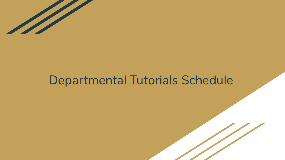

#### Departmental Tutorials Schedule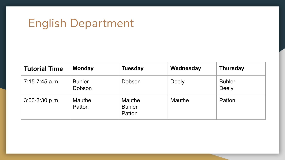### English Department

| <b>Tutorial Time</b> | <b>Monday</b>           | <b>Tuesday</b>                           | Wednesday    | <b>Thursday</b>               |
|----------------------|-------------------------|------------------------------------------|--------------|-------------------------------|
| $7:15-7:45$ a.m.     | <b>Buhler</b><br>Dobson | Dobson                                   | <b>Deely</b> | <b>Buhler</b><br><b>Deely</b> |
| $3:00-3:30$ p.m.     | <b>Mauthe</b><br>Patton | <b>Mauthe</b><br><b>Buhler</b><br>Patton | Mauthe       | Patton                        |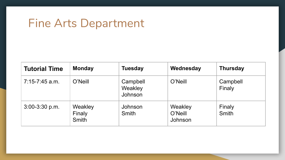#### Fine Arts Department

| <b>Tutorial Time</b> | <b>Monday</b>                     | <b>Tuesday</b>                        | Wednesday                     | <b>Thursday</b>    |
|----------------------|-----------------------------------|---------------------------------------|-------------------------------|--------------------|
| $7:15-7:45$ a.m.     | O'Neill                           | Campbell<br>Weakley<br><b>Johnson</b> | O'Neill                       | Campbell<br>Finaly |
| $3:00-3:30$ p.m.     | Weakley<br>Finaly<br><b>Smith</b> | Johnson<br><b>Smith</b>               | Weakley<br>O'Neill<br>Johnson | Finaly<br>Smith    |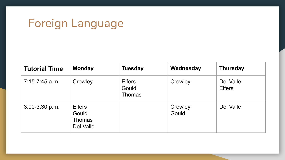## Foreign Language

| <b>Tutorial Time</b> | <b>Monday</b>                                        | <b>Tuesday</b>                          | Wednesday        | <b>Thursday</b>            |
|----------------------|------------------------------------------------------|-----------------------------------------|------------------|----------------------------|
| $7:15-7:45$ a.m.     | Crowley                                              | <b>Elfers</b><br>Gould<br><b>Thomas</b> | Crowley          | Del Valle<br><b>Elfers</b> |
| $3:00-3:30$ p.m.     | <b>Elfers</b><br>Gould<br><b>Thomas</b><br>Del Valle |                                         | Crowley<br>Gould | Del Valle                  |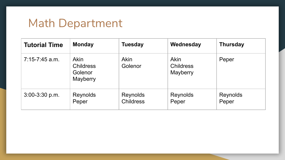#### Math Department

| <b>Tutorial Time</b> | <b>Monday</b>                                          | <b>Tuesday</b>               | Wednesday                            | <b>Thursday</b>   |
|----------------------|--------------------------------------------------------|------------------------------|--------------------------------------|-------------------|
| $7:15-7:45$ a.m.     | <b>Akin</b><br><b>Childress</b><br>Golenor<br>Mayberry | <b>Akin</b><br>Golenor       | Akin<br><b>Childress</b><br>Mayberry | Peper             |
| $3:00-3:30$ p.m.     | Reynolds<br>Peper                                      | Reynolds<br><b>Childress</b> | Reynolds<br>Peper                    | Reynolds<br>Peper |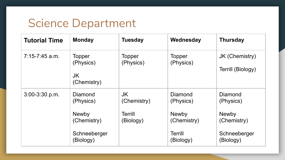#### Science Department

| <b>Tutorial Time</b> | <b>Monday</b>                                                                    | <b>Tuesday</b>                                   | Wednesday                                                                   | <b>Thursday</b>                                                                  |
|----------------------|----------------------------------------------------------------------------------|--------------------------------------------------|-----------------------------------------------------------------------------|----------------------------------------------------------------------------------|
| $7:15-7:45$ a.m.     | Topper<br>(Physics)<br>JK<br>(Chemistry)                                         | Topper<br>(Physics)                              | Topper<br>(Physics)                                                         | JK (Chemistry)<br>Terrill (Biology)                                              |
| $3:00-3:30$ p.m.     | Diamond<br>(Physics)<br><b>Newby</b><br>(Chemistry)<br>Schneeberger<br>(Biology) | <b>JK</b><br>(Chemistry)<br>Terrill<br>(Biology) | Diamond<br>(Physics)<br><b>Newby</b><br>(Chemistry)<br>Terrill<br>(Biology) | Diamond<br>(Physics)<br><b>Newby</b><br>(Chemistry)<br>Schneeberger<br>(Biology) |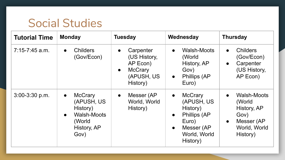#### Social Studies

| <b>Tutorial Time</b> | <b>Monday</b>                                                                                                             | <b>Tuesday</b>                                                                                              | Wednesday                                                                                                                                                 | <b>Thursday</b>                                                                                                  |
|----------------------|---------------------------------------------------------------------------------------------------------------------------|-------------------------------------------------------------------------------------------------------------|-----------------------------------------------------------------------------------------------------------------------------------------------------------|------------------------------------------------------------------------------------------------------------------|
| $7:15-7:45$ a.m.     | <b>Childers</b><br>$\bullet$<br>(Gov/Econ)                                                                                | Carpenter<br>$\bullet$<br>(US History,<br>AP Econ)<br><b>McCrary</b><br>$\bullet$<br>(APUSH, US<br>History) | <b>Walsh-Moots</b><br>$\bullet$<br>(World<br>History, AP<br>Gov)<br>Phillips (AP<br>$\bullet$<br>Euro)                                                    | <b>Childers</b><br>$\bullet$<br>(Gov/Econ)<br>Carpenter<br>$\bullet$<br>(US History,<br>AP Econ)                 |
| $3:00-3:30$ p.m.     | <b>McCrary</b><br>$\bullet$<br>(APUSH, US<br>History)<br><b>Walsh-Moots</b><br>$\bullet$<br>(World<br>History, AP<br>Gov) | Messer (AP<br>$\bullet$<br>World, World<br>History)                                                         | <b>McCrary</b><br>$\bullet$<br>(APUSH, US<br>History)<br><b>Phillips (AP</b><br>$\bullet$<br>Euro)<br>Messer (AP<br>$\bullet$<br>World, World<br>History) | Walsh-Moots<br>$\bullet$<br>(World<br>History, AP<br>Gov)<br>Messer (AP<br>$\bullet$<br>World, World<br>History) |